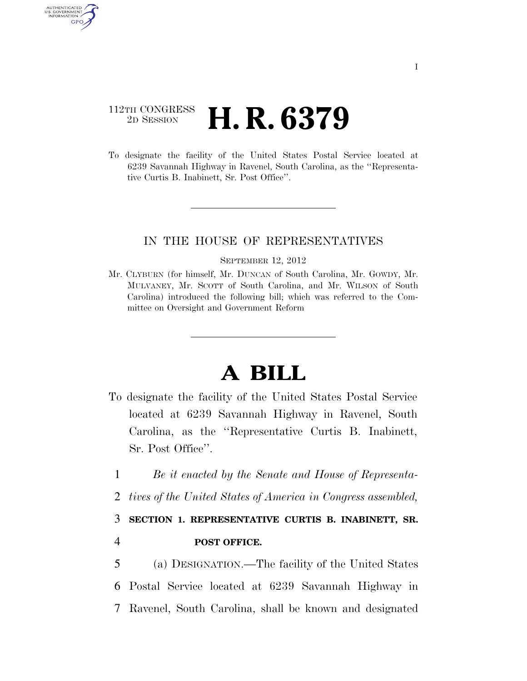## 112TH CONGRESS <sup>2D SESSION</sup> **H. R. 6379**

AUTHENTICATED U.S. GOVERNMENT GPO

> To designate the facility of the United States Postal Service located at 6239 Savannah Highway in Ravenel, South Carolina, as the ''Representative Curtis B. Inabinett, Sr. Post Office''.

### IN THE HOUSE OF REPRESENTATIVES

#### SEPTEMBER 12, 2012

Mr. CLYBURN (for himself, Mr. DUNCAN of South Carolina, Mr. GOWDY, Mr. MULVANEY, Mr. SCOTT of South Carolina, and Mr. WILSON of South Carolina) introduced the following bill; which was referred to the Committee on Oversight and Government Reform

# **A BILL**

- To designate the facility of the United States Postal Service located at 6239 Savannah Highway in Ravenel, South Carolina, as the ''Representative Curtis B. Inabinett, Sr. Post Office''.
	- 1 *Be it enacted by the Senate and House of Representa-*
	- 2 *tives of the United States of America in Congress assembled,*

### 3 **SECTION 1. REPRESENTATIVE CURTIS B. INABINETT, SR.**

### 4 **POST OFFICE.**

5 (a) DESIGNATION.—The facility of the United States 6 Postal Service located at 6239 Savannah Highway in 7 Ravenel, South Carolina, shall be known and designated